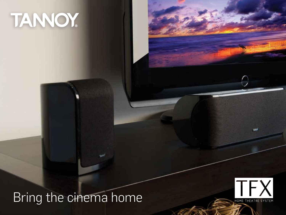# TANNOY

## Bring the cinema home



**SAC**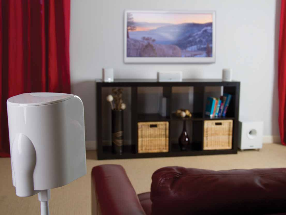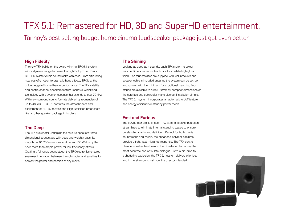## TFX 5.1: Remastered for HD, 3D and SuperHD entertainment.

Tannoy's best selling budget home cinema loudspeaker package just got even better.

#### High Fidelity

The new TFX builds on the award winning SFX 5.1 system with a dynamic range to power through Dolby True HD and DTS HD-Master Audio soundtracks with ease. From articulating nuances of emotion to dramatic bass effects, TFX is at the cutting edge of home theatre performance. The TFX satellite and centre channel speakers feature Tannoy's WideBand technology with a tweeter response that extends to over 70 kHz. With new surround sound formats delivering frequencies of up to 48 kHz, TFX 5.1 captures the atmoshphere and excitement of Blu-ray movies and High-Definition broadcasts like no other speaker package in its class.

#### The Deep

The TFX subwoofer underpins the satellite speakers' threedimensional soundstage with deep and weighty bass. Its long-throw 8" (200mm) driver and potent 100 Watt amplifier have more than ample power for low frequency effects. Crafting a full range soundstage, the TFX electronics ensures seamless integration between the subwoofer and satellites to convey the power and passion of any movie.

#### The Shining

Looking as good as it sounds, each TFX system is colour matched in a sumptuous black or a fresh white high gloss finish. The four satellites are supplied with wall brackets and speaker cable is included ensuring the system can be set-up and running with the minimum fuss. Optional matching floor stands are available to order. Extremely compact dimensions of the satellites and subwoofer make discreet installation simple. The TFX 5.1 system incorporates an automatic on/off feature and energy efficient low standby power mode.

#### Fast and Furious

The curved rear profile of each TFX satellite speaker has been streamlined to eliminate internal standing waves to ensure outstanding clarity and definition. Perfect for both movie soundtracks and music, the enhanced polymer cabinets provide a tight, fast midrange response. The TFX centre channel speaker has been further fine-tuned to convey the most accurate and articulate dialogue. From a pin-drop to a shattering explosion, the TFX 5.1 system delivers effortless and immersive sound just how the director intended.